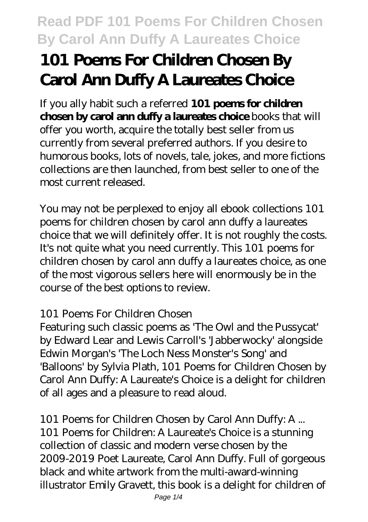# **101 Poems For Children Chosen By Carol Ann Duffy A Laureates Choice**

If you ally habit such a referred **101 poems for children chosen by carol ann duffy a laureates choice** books that will offer you worth, acquire the totally best seller from us currently from several preferred authors. If you desire to humorous books, lots of novels, tale, jokes, and more fictions collections are then launched, from best seller to one of the most current released.

You may not be perplexed to enjoy all ebook collections 101 poems for children chosen by carol ann duffy a laureates choice that we will definitely offer. It is not roughly the costs. It's not quite what you need currently. This 101 poems for children chosen by carol ann duffy a laureates choice, as one of the most vigorous sellers here will enormously be in the course of the best options to review.

#### *101 Poems For Children Chosen*

Featuring such classic poems as 'The Owl and the Pussycat' by Edward Lear and Lewis Carroll's 'Jabberwocky' alongside Edwin Morgan's 'The Loch Ness Monster's Song' and 'Balloons' by Sylvia Plath, 101 Poems for Children Chosen by Carol Ann Duffy: A Laureate's Choice is a delight for children of all ages and a pleasure to read aloud.

*101 Poems for Children Chosen by Carol Ann Duffy: A ...*

101 Poems for Children: A Laureate's Choice is a stunning collection of classic and modern verse chosen by the 2009-2019 Poet Laureate, Carol Ann Duffy. Full of gorgeous black and white artwork from the multi-award-winning illustrator Emily Gravett, this book is a delight for children of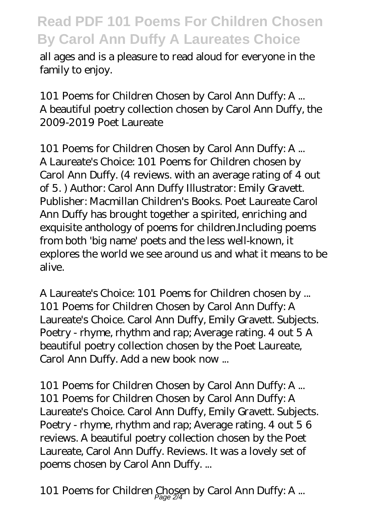all ages and is a pleasure to read aloud for everyone in the family to enjoy.

*101 Poems for Children Chosen by Carol Ann Duffy: A ...* A beautiful poetry collection chosen by Carol Ann Duffy, the 2009-2019 Poet Laureate

*101 Poems for Children Chosen by Carol Ann Duffy: A ...* A Laureate's Choice: 101 Poems for Children chosen by Carol Ann Duffy. (4 reviews. with an average rating of 4 out of 5. ) Author: Carol Ann Duffy Illustrator: Emily Gravett. Publisher: Macmillan Children's Books. Poet Laureate Carol Ann Duffy has brought together a spirited, enriching and exquisite anthology of poems for children.Including poems from both 'big name' poets and the less well-known, it explores the world we see around us and what it means to be alive.

*A Laureate's Choice: 101 Poems for Children chosen by ...* 101 Poems for Children Chosen by Carol Ann Duffy: A Laureate's Choice. Carol Ann Duffy, Emily Gravett. Subjects. Poetry - rhyme, rhythm and rap; Average rating. 4 out 5 A beautiful poetry collection chosen by the Poet Laureate, Carol Ann Duffy. Add a new book now ...

*101 Poems for Children Chosen by Carol Ann Duffy: A ...* 101 Poems for Children Chosen by Carol Ann Duffy: A Laureate's Choice. Carol Ann Duffy, Emily Gravett. Subjects. Poetry - rhyme, rhythm and rap; Average rating. 4 out 5 6 reviews. A beautiful poetry collection chosen by the Poet Laureate, Carol Ann Duffy. Reviews. It was a lovely set of poems chosen by Carol Ann Duffy. ...

*101 Poems for Children Chosen by Carol Ann Duffy: A ...* Page 2/4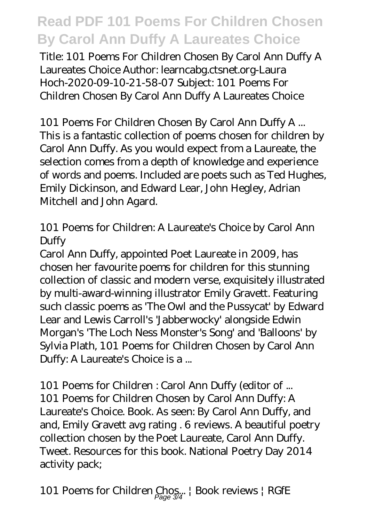Title: 101 Poems For Children Chosen By Carol Ann Duffy A Laureates Choice Author: learncabg.ctsnet.org-Laura Hoch-2020-09-10-21-58-07 Subject: 101 Poems For Children Chosen By Carol Ann Duffy A Laureates Choice

#### *101 Poems For Children Chosen By Carol Ann Duffy A ...* This is a fantastic collection of poems chosen for children by Carol Ann Duffy. As you would expect from a Laureate, the selection comes from a depth of knowledge and experience of words and poems. Included are poets such as Ted Hughes, Emily Dickinson, and Edward Lear, John Hegley, Adrian Mitchell and John Agard.

#### *101 Poems for Children: A Laureate's Choice by Carol Ann Duffy*

Carol Ann Duffy, appointed Poet Laureate in 2009, has chosen her favourite poems for children for this stunning collection of classic and modern verse, exquisitely illustrated by multi-award-winning illustrator Emily Gravett. Featuring such classic poems as 'The Owl and the Pussycat' by Edward Lear and Lewis Carroll's 'Jabberwocky' alongside Edwin Morgan's 'The Loch Ness Monster's Song' and 'Balloons' by Sylvia Plath, 101 Poems for Children Chosen by Carol Ann Duffy: A Laureate's Choice is a ...

*101 Poems for Children : Carol Ann Duffy (editor of ...* 101 Poems for Children Chosen by Carol Ann Duffy: A Laureate's Choice. Book. As seen: By Carol Ann Duffy, and and, Emily Gravett avg rating . 6 reviews. A beautiful poetry collection chosen by the Poet Laureate, Carol Ann Duffy. Tweet. Resources for this book. National Poetry Day 2014 activity pack;

*101 Poems for Children Chos... | Book reviews | RGfE* Page 3/4